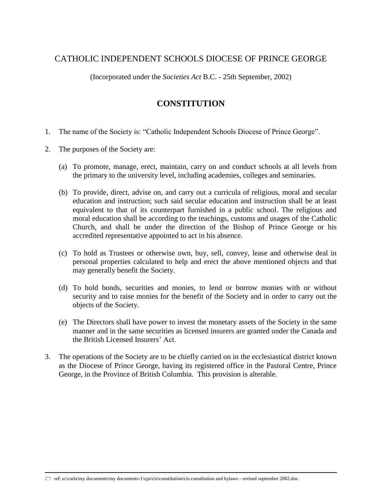## CATHOLIC INDEPENDENT SCHOOLS DIOCESE OF PRINCE GEORGE

(Incorporated under the *Societies Act* B.C. - 25th September, 2002)

## **CONSTITUTION**

- 1. The name of the Society is: "Catholic Independent Schools Diocese of Prince George".
- 2. The purposes of the Society are:
	- (a) To promote, manage, erect, maintain, carry on and conduct schools at all levels from the primary to the university level, including academies, colleges and seminaries.
	- (b) To provide, direct, advise on, and carry out a curricula of religious, moral and secular education and instruction; such said secular education and instruction shall be at least equivalent to that of its counterpart furnished in a public school. The religious and moral education shall be according to the teachings, customs and usages of the Catholic Church, and shall be under the direction of the Bishop of Prince George or his accredited representative appointed to act in his absence.
	- (c) To hold as Trustees or otherwise own, buy, sell, convey, lease and otherwise deal in personal properties calculated to help and erect the above mentioned objects and that may generally benefit the Society.
	- (d) To hold bonds, securities and monies, to lend or borrow monies with or without security and to raise monies for the benefit of the Society and in order to carry out the objects of the Society.
	- (e) The Directors shall have power to invest the monetary assets of the Society in the same manner and in the same securities as licensed insurers are granted under the Canada and the British Licensed Insurers' Act.
- 3. The operations of the Society are to be chiefly carried on in the ecclesiastical district known as the Diocese of Prince George, having its registered office in the Pastoral Centre, Prince George, in the Province of British Columbia. This provision is alterable.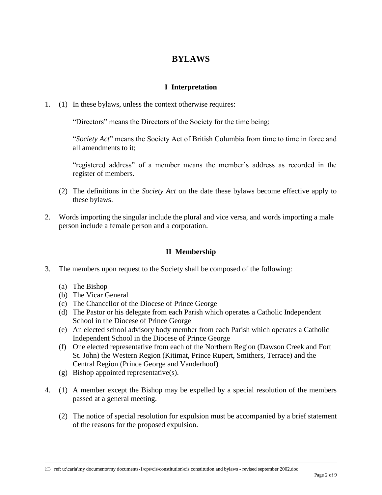# **BYLAWS**

## **I Interpretation**

1. (1) In these bylaws, unless the context otherwise requires:

"Directors" means the Directors of the Society for the time being;

"*Society Act*" means the Society Act of British Columbia from time to time in force and all amendments to it;

"registered address" of a member means the member's address as recorded in the register of members.

- (2) The definitions in the *Society Act* on the date these bylaws become effective apply to these bylaws.
- 2. Words importing the singular include the plural and vice versa, and words importing a male person include a female person and a corporation.

## **II Membership**

- 3. The members upon request to the Society shall be composed of the following:
	- (a) The Bishop
	- (b) The Vicar General
	- (c) The Chancellor of the Diocese of Prince George
	- (d) The Pastor or his delegate from each Parish which operates a Catholic Independent School in the Diocese of Prince George
	- (e) An elected school advisory body member from each Parish which operates a Catholic Independent School in the Diocese of Prince George
	- (f) One elected representative from each of the Northern Region (Dawson Creek and Fort St. John) the Western Region (Kitimat, Prince Rupert, Smithers, Terrace) and the Central Region (Prince George and Vanderhoof)
	- (g) Bishop appointed representative(s).
- 4. (1) A member except the Bishop may be expelled by a special resolution of the members passed at a general meeting.
	- (2) The notice of special resolution for expulsion must be accompanied by a brief statement of the reasons for the proposed expulsion.

 $\triangleright$  ref: u:\carla\my documents\my documents-1\cps\cis\constitution\cis constitution and bylaws - revised september 2002.doc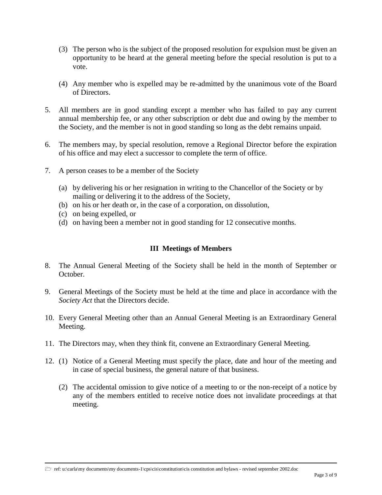- (3) The person who is the subject of the proposed resolution for expulsion must be given an opportunity to be heard at the general meeting before the special resolution is put to a vote.
- (4) Any member who is expelled may be re-admitted by the unanimous vote of the Board of Directors.
- 5. All members are in good standing except a member who has failed to pay any current annual membership fee, or any other subscription or debt due and owing by the member to the Society, and the member is not in good standing so long as the debt remains unpaid.
- 6. The members may, by special resolution, remove a Regional Director before the expiration of his office and may elect a successor to complete the term of office.
- 7. A person ceases to be a member of the Society
	- (a) by delivering his or her resignation in writing to the Chancellor of the Society or by mailing or delivering it to the address of the Society,
	- (b) on his or her death or, in the case of a corporation, on dissolution,
	- (c) on being expelled, or
	- (d) on having been a member not in good standing for 12 consecutive months.

#### **III Meetings of Members**

- 8. The Annual General Meeting of the Society shall be held in the month of September or October.
- 9. General Meetings of the Society must be held at the time and place in accordance with the *Society Act* that the Directors decide.
- 10. Every General Meeting other than an Annual General Meeting is an Extraordinary General Meeting.
- 11. The Directors may, when they think fit, convene an Extraordinary General Meeting.
- 12. (1) Notice of a General Meeting must specify the place, date and hour of the meeting and in case of special business, the general nature of that business.
	- (2) The accidental omission to give notice of a meeting to or the non-receipt of a notice by any of the members entitled to receive notice does not invalidate proceedings at that meeting.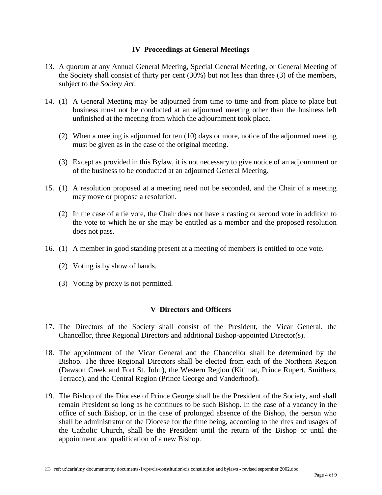#### **IV Proceedings at General Meetings**

- 13. A quorum at any Annual General Meeting, Special General Meeting, or General Meeting of the Society shall consist of thirty per cent (30%) but not less than three (3) of the members, subject to the *Society Act*.
- 14. (1) A General Meeting may be adjourned from time to time and from place to place but business must not be conducted at an adjourned meeting other than the business left unfinished at the meeting from which the adjournment took place.
	- (2) When a meeting is adjourned for ten (10) days or more, notice of the adjourned meeting must be given as in the case of the original meeting.
	- (3) Except as provided in this Bylaw, it is not necessary to give notice of an adjournment or of the business to be conducted at an adjourned General Meeting.
- 15. (1) A resolution proposed at a meeting need not be seconded, and the Chair of a meeting may move or propose a resolution.
	- (2) In the case of a tie vote, the Chair does not have a casting or second vote in addition to the vote to which he or she may be entitled as a member and the proposed resolution does not pass.
- 16. (1) A member in good standing present at a meeting of members is entitled to one vote.
	- (2) Voting is by show of hands.
	- (3) Voting by proxy is not permitted.

#### **V Directors and Officers**

- 17. The Directors of the Society shall consist of the President, the Vicar General, the Chancellor, three Regional Directors and additional Bishop-appointed Director(s).
- 18. The appointment of the Vicar General and the Chancellor shall be determined by the Bishop. The three Regional Directors shall be elected from each of the Northern Region (Dawson Creek and Fort St. John), the Western Region (Kitimat, Prince Rupert, Smithers, Terrace), and the Central Region (Prince George and Vanderhoof).
- 19. The Bishop of the Diocese of Prince George shall be the President of the Society, and shall remain President so long as he continues to be such Bishop. In the case of a vacancy in the office of such Bishop, or in the case of prolonged absence of the Bishop, the person who shall be administrator of the Diocese for the time being, according to the rites and usages of the Catholic Church, shall be the President until the return of the Bishop or until the appointment and qualification of a new Bishop.

 $\triangleright$  ref: u:\carla\my documents\my documents-1\cps\cis\constitution\cis constitution and bylaws - revised september 2002.doc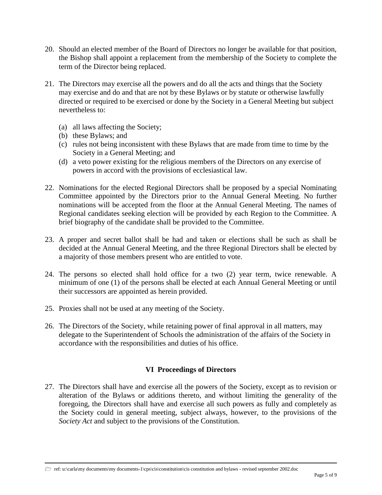- 20. Should an elected member of the Board of Directors no longer be available for that position, the Bishop shall appoint a replacement from the membership of the Society to complete the term of the Director being replaced.
- 21. The Directors may exercise all the powers and do all the acts and things that the Society may exercise and do and that are not by these Bylaws or by statute or otherwise lawfully directed or required to be exercised or done by the Society in a General Meeting but subject nevertheless to:
	- (a) all laws affecting the Society;
	- (b) these Bylaws; and
	- (c) rules not being inconsistent with these Bylaws that are made from time to time by the Society in a General Meeting; and
	- (d) a veto power existing for the religious members of the Directors on any exercise of powers in accord with the provisions of ecclesiastical law.
- 22. Nominations for the elected Regional Directors shall be proposed by a special Nominating Committee appointed by the Directors prior to the Annual General Meeting. No further nominations will be accepted from the floor at the Annual General Meeting. The names of Regional candidates seeking election will be provided by each Region to the Committee. A brief biography of the candidate shall be provided to the Committee.
- 23. A proper and secret ballot shall be had and taken or elections shall be such as shall be decided at the Annual General Meeting, and the three Regional Directors shall be elected by a majority of those members present who are entitled to vote.
- 24. The persons so elected shall hold office for a two (2) year term, twice renewable. A minimum of one (1) of the persons shall be elected at each Annual General Meeting or until their successors are appointed as herein provided.
- 25. Proxies shall not be used at any meeting of the Society.
- 26. The Directors of the Society, while retaining power of final approval in all matters, may delegate to the Superintendent of Schools the administration of the affairs of the Society in accordance with the responsibilities and duties of his office.

### **VI Proceedings of Directors**

27. The Directors shall have and exercise all the powers of the Society, except as to revision or alteration of the Bylaws or additions thereto, and without limiting the generality of the foregoing, the Directors shall have and exercise all such powers as fully and completely as the Society could in general meeting, subject always, however, to the provisions of the *Society Act* and subject to the provisions of the Constitution.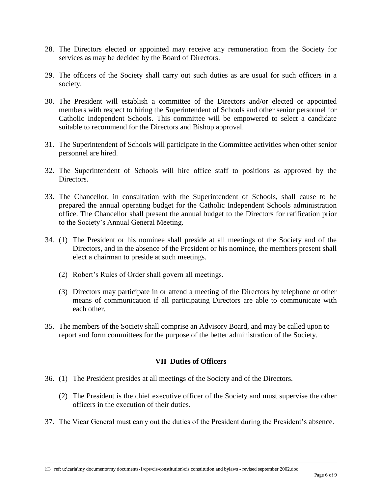- 28. The Directors elected or appointed may receive any remuneration from the Society for services as may be decided by the Board of Directors.
- 29. The officers of the Society shall carry out such duties as are usual for such officers in a society.
- 30. The President will establish a committee of the Directors and/or elected or appointed members with respect to hiring the Superintendent of Schools and other senior personnel for Catholic Independent Schools. This committee will be empowered to select a candidate suitable to recommend for the Directors and Bishop approval.
- 31. The Superintendent of Schools will participate in the Committee activities when other senior personnel are hired.
- 32. The Superintendent of Schools will hire office staff to positions as approved by the Directors.
- 33. The Chancellor, in consultation with the Superintendent of Schools, shall cause to be prepared the annual operating budget for the Catholic Independent Schools administration office. The Chancellor shall present the annual budget to the Directors for ratification prior to the Society's Annual General Meeting.
- 34. (1) The President or his nominee shall preside at all meetings of the Society and of the Directors, and in the absence of the President or his nominee, the members present shall elect a chairman to preside at such meetings.
	- (2) Robert's Rules of Order shall govern all meetings.
	- (3) Directors may participate in or attend a meeting of the Directors by telephone or other means of communication if all participating Directors are able to communicate with each other.
- 35. The members of the Society shall comprise an Advisory Board, and may be called upon to report and form committees for the purpose of the better administration of the Society.

### **VII Duties of Officers**

- 36. (1) The President presides at all meetings of the Society and of the Directors.
	- (2) The President is the chief executive officer of the Society and must supervise the other officers in the execution of their duties.
- 37. The Vicar General must carry out the duties of the President during the President's absence.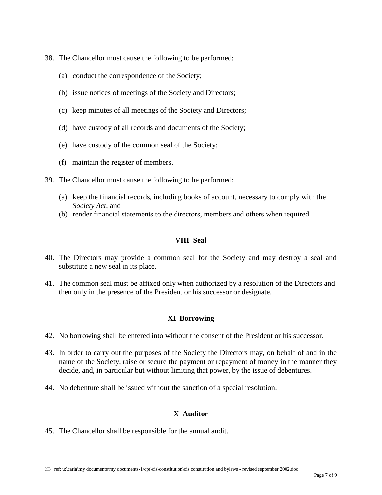- 38. The Chancellor must cause the following to be performed:
	- (a) conduct the correspondence of the Society;
	- (b) issue notices of meetings of the Society and Directors;
	- (c) keep minutes of all meetings of the Society and Directors;
	- (d) have custody of all records and documents of the Society;
	- (e) have custody of the common seal of the Society;
	- (f) maintain the register of members.
- 39. The Chancellor must cause the following to be performed:
	- (a) keep the financial records, including books of account, necessary to comply with the *Society Act*, and
	- (b) render financial statements to the directors, members and others when required.

#### **VIII Seal**

- 40. The Directors may provide a common seal for the Society and may destroy a seal and substitute a new seal in its place.
- 41. The common seal must be affixed only when authorized by a resolution of the Directors and then only in the presence of the President or his successor or designate.

### **XI Borrowing**

- 42. No borrowing shall be entered into without the consent of the President or his successor.
- 43. In order to carry out the purposes of the Society the Directors may, on behalf of and in the name of the Society, raise or secure the payment or repayment of money in the manner they decide, and, in particular but without limiting that power, by the issue of debentures.
- 44. No debenture shall be issued without the sanction of a special resolution.

### **X Auditor**

45. The Chancellor shall be responsible for the annual audit.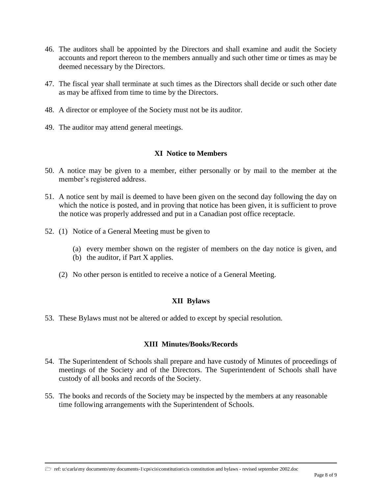- 46. The auditors shall be appointed by the Directors and shall examine and audit the Society accounts and report thereon to the members annually and such other time or times as may be deemed necessary by the Directors.
- 47. The fiscal year shall terminate at such times as the Directors shall decide or such other date as may be affixed from time to time by the Directors.
- 48. A director or employee of the Society must not be its auditor.
- 49. The auditor may attend general meetings.

#### **XI Notice to Members**

- 50. A notice may be given to a member, either personally or by mail to the member at the member's registered address.
- 51. A notice sent by mail is deemed to have been given on the second day following the day on which the notice is posted, and in proving that notice has been given, it is sufficient to prove the notice was properly addressed and put in a Canadian post office receptacle.
- 52. (1) Notice of a General Meeting must be given to
	- (a) every member shown on the register of members on the day notice is given, and
	- (b) the auditor, if Part X applies.
	- (2) No other person is entitled to receive a notice of a General Meeting.

### **XII Bylaws**

53. These Bylaws must not be altered or added to except by special resolution.

### **XIII Minutes/Books/Records**

- 54. The Superintendent of Schools shall prepare and have custody of Minutes of proceedings of meetings of the Society and of the Directors. The Superintendent of Schools shall have custody of all books and records of the Society.
- 55. The books and records of the Society may be inspected by the members at any reasonable time following arrangements with the Superintendent of Schools.